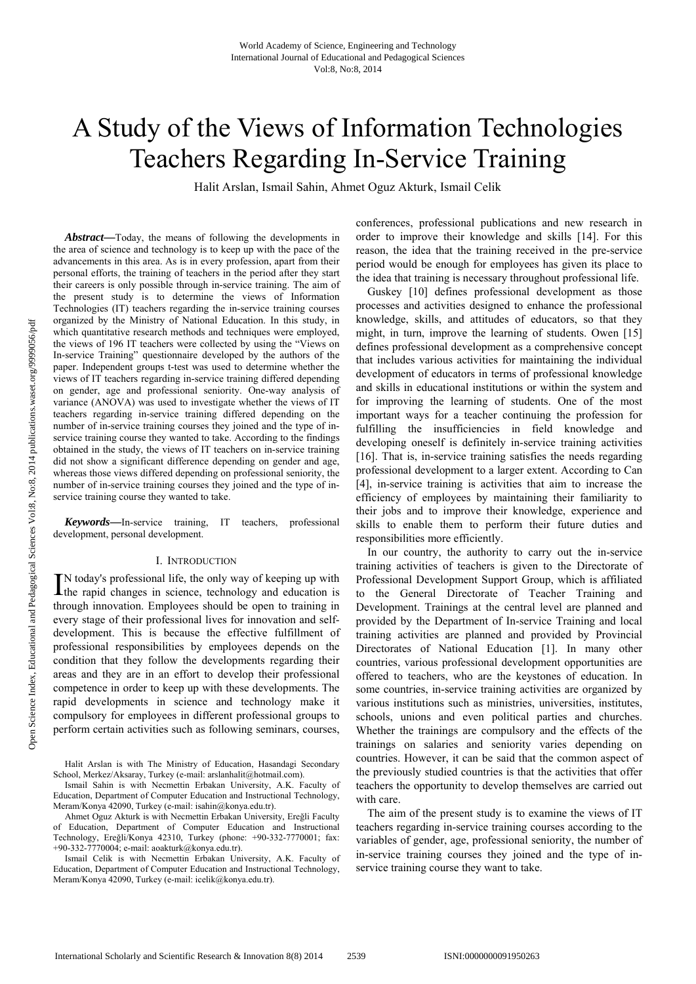# A Study of the Views of Information Technologies Teachers Regarding In-Service Training

Halit Arslan, Ismail Sahin, Ahmet Oguz Akturk, Ismail Celik

*Abstract***—**Today, the means of following the developments in the area of science and technology is to keep up with the pace of the advancements in this area. As is in every profession, apart from their personal efforts, the training of teachers in the period after they start their careers is only possible through in-service training. The aim of the present study is to determine the views of Information Technologies (IT) teachers regarding the in-service training courses organized by the Ministry of National Education. In this study, in which quantitative research methods and techniques were employed, the views of 196 IT teachers were collected by using the "Views on In-service Training" questionnaire developed by the authors of the paper. Independent groups t-test was used to determine whether the views of IT teachers regarding in-service training differed depending on gender, age and professional seniority. One-way analysis of variance (ANOVA) was used to investigate whether the views of IT teachers regarding in-service training differed depending on the number of in-service training courses they joined and the type of inservice training course they wanted to take. According to the findings obtained in the study, the views of IT teachers on in-service training did not show a significant difference depending on gender and age, whereas those views differed depending on professional seniority, the number of in-service training courses they joined and the type of inservice training course they wanted to take.

*Keywords***—**In-service training, IT teachers, professional development, personal development.

#### I. INTRODUCTION

N today's professional life, the only way of keeping up with IN today's professional life, the only way of keeping up with the rapid changes in science, technology and education is through innovation. Employees should be open to training in every stage of their professional lives for innovation and selfdevelopment. This is because the effective fulfillment of professional responsibilities by employees depends on the condition that they follow the developments regarding their areas and they are in an effort to develop their professional competence in order to keep up with these developments. The rapid developments in science and technology make it compulsory for employees in different professional groups to perform certain activities such as following seminars, courses,

conferences, professional publications and new research in order to improve their knowledge and skills [14]. For this reason, the idea that the training received in the pre-service period would be enough for employees has given its place to the idea that training is necessary throughout professional life.

Guskey [10] defines professional development as those processes and activities designed to enhance the professional knowledge, skills, and attitudes of educators, so that they might, in turn, improve the learning of students. Owen [15] defines professional development as a comprehensive concept that includes various activities for maintaining the individual development of educators in terms of professional knowledge and skills in educational institutions or within the system and for improving the learning of students. One of the most important ways for a teacher continuing the profession for fulfilling the insufficiencies in field knowledge and developing oneself is definitely in-service training activities [16]. That is, in-service training satisfies the needs regarding professional development to a larger extent. According to Can [4], in-service training is activities that aim to increase the efficiency of employees by maintaining their familiarity to their jobs and to improve their knowledge, experience and skills to enable them to perform their future duties and responsibilities more efficiently.

In our country, the authority to carry out the in-service training activities of teachers is given to the Directorate of Professional Development Support Group, which is affiliated to the General Directorate of Teacher Training and Development. Trainings at the central level are planned and provided by the Department of In-service Training and local training activities are planned and provided by Provincial Directorates of National Education [1]. In many other countries, various professional development opportunities are offered to teachers, who are the keystones of education. In some countries, in-service training activities are organized by various institutions such as ministries, universities, institutes, schools, unions and even political parties and churches. Whether the trainings are compulsory and the effects of the trainings on salaries and seniority varies depending on countries. However, it can be said that the common aspect of the previously studied countries is that the activities that offer teachers the opportunity to develop themselves are carried out with care.

The aim of the present study is to examine the views of IT teachers regarding in-service training courses according to the variables of gender, age, professional seniority, the number of in-service training courses they joined and the type of inservice training course they want to take.

Halit Arslan is with The Ministry of Education, Hasandagi Secondary School, Merkez/Aksaray, Turkey (e-mail: arslanhalit@hotmail.com).

Ismail Sahin is with Necmettin Erbakan University, A.K. Faculty of Education, Department of Computer Education and Instructional Technology, Meram/Konya 42090, Turkey (e-mail: isahin@konya.edu.tr).

Ahmet Oguz Akturk is with Necmettin Erbakan University, Ereğli Faculty of Education, Department of Computer Education and Instructional Technology, Ereğli/Konya 42310, Turkey (phone: +90-332-7770001; fax: +90-332-7770004; e-mail: aoakturk@konya.edu.tr).

Ismail Celik is with Necmettin Erbakan University, A.K. Faculty of Education, Department of Computer Education and Instructional Technology, Meram/Konya 42090, Turkey (e-mail: icelik@konya.edu.tr).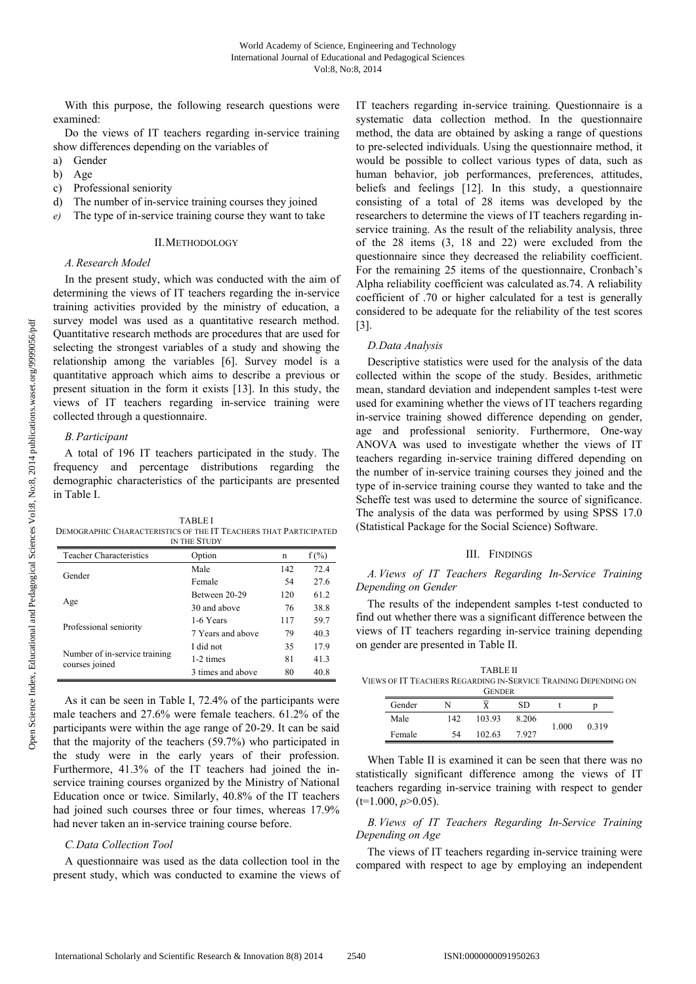With this purpose, the following research questions were examined:

Do the views of IT teachers regarding in-service training show differences depending on the variables of

- a) Gender
- b) Age
- c) Professional seniority
- d) The number of in-service training courses they joined
- *e)* The type of in-service training course they want to take

#### II.METHODOLOGY

# *A.Research Model*

In the present study, which was conducted with the aim of determining the views of IT teachers regarding the in-service training activities provided by the ministry of education, a survey model was used as a quantitative research method. Quantitative research methods are procedures that are used for selecting the strongest variables of a study and showing the relationship among the variables [6]. Survey model is a quantitative approach which aims to describe a previous or present situation in the form it exists [13]. In this study, the views of IT teachers regarding in-service training were collected through a questionnaire.

## *B.Participant*

A total of 196 IT teachers participated in the study. The frequency and percentage distributions regarding the demographic characteristics of the participants are presented in Table I.

TABLE I DEMOGRAPHIC CHARACTERISTICS OF THE IT TEACHERS THAT PARTICIPATED IN THE STUDY

| <b>Teacher Characteristics</b>                  | Option            | n   | $f(\%)$ |  |  |  |
|-------------------------------------------------|-------------------|-----|---------|--|--|--|
| Gender                                          | Male              | 142 | 72.4    |  |  |  |
|                                                 | Female            | 54  | 27.6    |  |  |  |
| Age                                             | Between 20-29     | 120 | 61.2    |  |  |  |
|                                                 | 30 and above      | 76  | 38.8    |  |  |  |
| Professional seniority                          | 1-6 Years         | 117 | 59.7    |  |  |  |
|                                                 | 7 Years and above | 79  | 40.3    |  |  |  |
|                                                 | I did not         | 35  | 17.9    |  |  |  |
| Number of in-service training<br>courses joined | 1-2 times         | 81  | 41.3    |  |  |  |
|                                                 | 3 times and above | 80  | 40.8    |  |  |  |

As it can be seen in Table I, 72.4% of the participants were male teachers and 27.6% were female teachers. 61.2% of the participants were within the age range of 20-29. It can be said that the majority of the teachers (59.7%) who participated in the study were in the early years of their profession. Furthermore, 41.3% of the IT teachers had joined the inservice training courses organized by the Ministry of National Education once or twice. Similarly, 40.8% of the IT teachers had joined such courses three or four times, whereas 17.9% had never taken an in-service training course before.

## *C.Data Collection Tool*

A questionnaire was used as the data collection tool in the present study, which was conducted to examine the views of IT teachers regarding in-service training. Questionnaire is a systematic data collection method. In the questionnaire method, the data are obtained by asking a range of questions to pre-selected individuals. Using the questionnaire method, it would be possible to collect various types of data, such as human behavior, job performances, preferences, attitudes, beliefs and feelings [12]. In this study, a questionnaire consisting of a total of 28 items was developed by the researchers to determine the views of IT teachers regarding inservice training. As the result of the reliability analysis, three of the 28 items (3, 18 and 22) were excluded from the questionnaire since they decreased the reliability coefficient. For the remaining 25 items of the questionnaire, Cronbach's Alpha reliability coefficient was calculated as.74. A reliability coefficient of .70 or higher calculated for a test is generally considered to be adequate for the reliability of the test scores [3].

## *D.Data Analysis*

Descriptive statistics were used for the analysis of the data collected within the scope of the study. Besides, arithmetic mean, standard deviation and independent samples t-test were used for examining whether the views of IT teachers regarding in-service training showed difference depending on gender, age and professional seniority. Furthermore, One-way ANOVA was used to investigate whether the views of IT teachers regarding in-service training differed depending on the number of in-service training courses they joined and the type of in-service training course they wanted to take and the Scheffe test was used to determine the source of significance. The analysis of the data was performed by using SPSS 17.0 (Statistical Package for the Social Science) Software.

## III. FINDINGS

*A.Views of IT Teachers Regarding In-Service Training Depending on Gender* 

The results of the independent samples t-test conducted to find out whether there was a significant difference between the views of IT teachers regarding in-service training depending on gender are presented in Table II.

TABLE II VIEWS OF IT TEACHERS REGARDING IN-SERVICE TRAINING DEPENDING ON

| <b>GENDER</b> |     |        |       |       |       |  |
|---------------|-----|--------|-------|-------|-------|--|
| Gender        | N   |        | SD    |       |       |  |
| Male          | 142 | 103.93 | 8.206 | 1.000 | 0.319 |  |
| Female        | 54  | 102.63 | 7 927 |       |       |  |

When Table II is examined it can be seen that there was no statistically significant difference among the views of IT teachers regarding in-service training with respect to gender  $(t=1.000, p>0.05)$ .

*B.Views of IT Teachers Regarding In-Service Training Depending on Age* 

The views of IT teachers regarding in-service training were compared with respect to age by employing an independent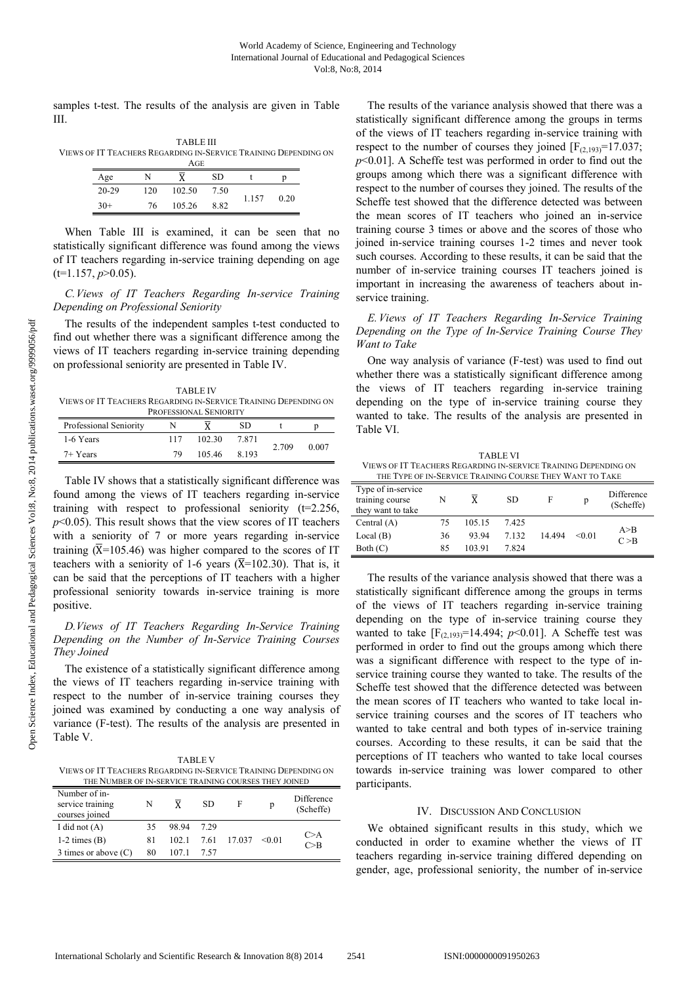samples t-test. The results of the analysis are given in Table III.

TABLE III VIEWS OF IT TEACHERS REGARDING IN-SERVICE TRAINING DEPENDING ON AGE

| Age       | N   |        | <b>SD</b> |       |      |
|-----------|-----|--------|-----------|-------|------|
| $20 - 29$ | 120 | 102.50 | 7.50      | 1.157 |      |
| $30+$     | 76  | 105.26 | 8.82      |       | 0.20 |

When Table III is examined, it can be seen that no statistically significant difference was found among the views of IT teachers regarding in-service training depending on age  $(t=1.157, p>0.05)$ .

# *C.Views of IT Teachers Regarding In-service Training Depending on Professional Seniority*

The results of the independent samples t-test conducted to find out whether there was a significant difference among the views of IT teachers regarding in-service training depending on professional seniority are presented in Table IV.

TABLE IV VIEWS OF IT TEACHERS REGARDING IN-SERVICE TRAINING DEPENDING ON PROFESSIONAL SENIORITY

| Professional Seniority |     | PROFESSIONAL SENIORITY | SD      |       |       |
|------------------------|-----|------------------------|---------|-------|-------|
| 1-6 Years              | 117 | 102.30                 | 7871    | 2.709 | 0.007 |
| 7+ Years               | 79  | 105.46                 | 8 1 9 3 |       |       |

Table IV shows that a statistically significant difference was found among the views of IT teachers regarding in-service training with respect to professional seniority  $(t=2.256)$ .  $p$ <0.05). This result shows that the view scores of IT teachers with a seniority of 7 or more years regarding in-service training ( $\overline{X}$ =105.46) was higher compared to the scores of IT teachers with a seniority of 1-6 years ( $\overline{X}$ =102.30). That is, it can be said that the perceptions of IT teachers with a higher professional seniority towards in-service training is more positive.

# *D.Views of IT Teachers Regarding In-Service Training Depending on the Number of In-Service Training Courses They Joined*

The existence of a statistically significant difference among the views of IT teachers regarding in-service training with respect to the number of in-service training courses they joined was examined by conducting a one way analysis of variance (F-test). The results of the analysis are presented in Table V.

| <b>TABLEV</b>                                                   |
|-----------------------------------------------------------------|
| VIEWS OF IT TEACHERS REGARDING IN-SERVICE TRAINING DEPENDING ON |
| THE NUMBER OF IN-SERVICE TRAINING COURSES THEY JOINED           |

| THE INUMBER OF IN-SERVICE TRAINING COURSES THEY JOINED |    |       |      |        |        |                         |  |
|--------------------------------------------------------|----|-------|------|--------|--------|-------------------------|--|
| Number of in-<br>service training<br>courses joined    | N  |       | SD.  | F      | p      | Difference<br>(Scheffe) |  |
| I did not $(A)$                                        | 35 | 98.94 | 729  |        |        |                         |  |
| $1-2$ times $(B)$                                      | 81 | 102.1 | 7.61 | 17.037 | < 0.01 | C > A<br>C>B            |  |
| 3 times or above $(C)$                                 | 80 | 107.1 | 7.57 |        |        |                         |  |

The results of the variance analysis showed that there was a statistically significant difference among the groups in terms of the views of IT teachers regarding in-service training with respect to the number of courses they joined  $[F_{(2,193)}=17.037;$ *p*<0.01]. A Scheffe test was performed in order to find out the groups among which there was a significant difference with respect to the number of courses they joined. The results of the Scheffe test showed that the difference detected was between the mean scores of IT teachers who joined an in-service training course 3 times or above and the scores of those who joined in-service training courses 1-2 times and never took such courses. According to these results, it can be said that the number of in-service training courses IT teachers joined is important in increasing the awareness of teachers about inservice training.

# *E.Views of IT Teachers Regarding In-Service Training Depending on the Type of In-Service Training Course They Want to Take*

One way analysis of variance (F-test) was used to find out whether there was a statistically significant difference among the views of IT teachers regarding in-service training depending on the type of in-service training course they wanted to take. The results of the analysis are presented in Table VI.

TABLE VI VIEWS OF IT TEACHERS REGARDING IN-SERVICE TRAINING DEPENDING ON THE TYPE OF IN-SERVICE TRAINING COURSE THEY WANT TO TAKE

| Type of in-service<br>training course<br>they want to take | N  | X      | SD.   | F        | p      | Difference<br>(Scheffe) |
|------------------------------------------------------------|----|--------|-------|----------|--------|-------------------------|
| Central $(A)$                                              | 75 | 105.15 | 7425  |          |        |                         |
| Local(B)                                                   | 36 | 93.94  | 7.132 | 14 4 9 4 | < 0.01 | A > B<br>C > B          |
| Both $(C)$                                                 | 85 | 103.91 | 7824  |          |        |                         |

The results of the variance analysis showed that there was a statistically significant difference among the groups in terms of the views of IT teachers regarding in-service training depending on the type of in-service training course they wanted to take  $[F_{(2,193)}=14.494; p<0.01]$ . A Scheffe test was performed in order to find out the groups among which there was a significant difference with respect to the type of inservice training course they wanted to take. The results of the Scheffe test showed that the difference detected was between the mean scores of IT teachers who wanted to take local inservice training courses and the scores of IT teachers who wanted to take central and both types of in-service training courses. According to these results, it can be said that the perceptions of IT teachers who wanted to take local courses towards in-service training was lower compared to other participants.

# IV. DISCUSSION AND CONCLUSION

We obtained significant results in this study, which we conducted in order to examine whether the views of IT teachers regarding in-service training differed depending on gender, age, professional seniority, the number of in-service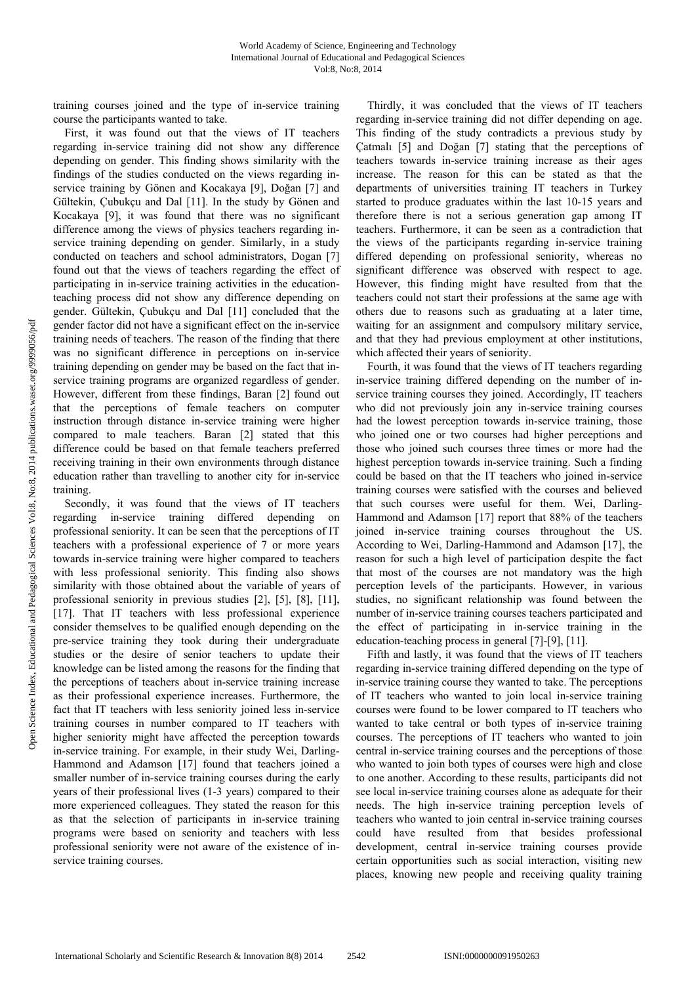training courses joined and the type of in-service training course the participants wanted to take.

First, it was found out that the views of IT teachers regarding in-service training did not show any difference depending on gender. This finding shows similarity with the findings of the studies conducted on the views regarding inservice training by Gönen and Kocakaya [9], Doğan [7] and Gültekin, Çubukçu and Dal [11]. In the study by Gönen and Kocakaya [9], it was found that there was no significant difference among the views of physics teachers regarding inservice training depending on gender. Similarly, in a study conducted on teachers and school administrators, Dogan [7] found out that the views of teachers regarding the effect of participating in in-service training activities in the educationteaching process did not show any difference depending on gender. Gültekin, Çubukçu and Dal [11] concluded that the gender factor did not have a significant effect on the in-service training needs of teachers. The reason of the finding that there was no significant difference in perceptions on in-service training depending on gender may be based on the fact that inservice training programs are organized regardless of gender. However, different from these findings, Baran [2] found out that the perceptions of female teachers on computer instruction through distance in-service training were higher compared to male teachers. Baran [2] stated that this difference could be based on that female teachers preferred receiving training in their own environments through distance education rather than travelling to another city for in-service training.

Secondly, it was found that the views of IT teachers regarding in-service training differed depending on professional seniority. It can be seen that the perceptions of IT teachers with a professional experience of 7 or more years towards in-service training were higher compared to teachers with less professional seniority. This finding also shows similarity with those obtained about the variable of years of professional seniority in previous studies [2], [5], [8], [11], [17]. That IT teachers with less professional experience consider themselves to be qualified enough depending on the pre-service training they took during their undergraduate studies or the desire of senior teachers to update their knowledge can be listed among the reasons for the finding that the perceptions of teachers about in-service training increase as their professional experience increases. Furthermore, the fact that IT teachers with less seniority joined less in-service training courses in number compared to IT teachers with higher seniority might have affected the perception towards in-service training. For example, in their study Wei, Darling-Hammond and Adamson [17] found that teachers joined a smaller number of in-service training courses during the early years of their professional lives (1-3 years) compared to their more experienced colleagues. They stated the reason for this as that the selection of participants in in-service training programs were based on seniority and teachers with less professional seniority were not aware of the existence of inservice training courses.

Thirdly, it was concluded that the views of IT teachers regarding in-service training did not differ depending on age. This finding of the study contradicts a previous study by Çatmalı [5] and Doğan [7] stating that the perceptions of teachers towards in-service training increase as their ages increase. The reason for this can be stated as that the departments of universities training IT teachers in Turkey started to produce graduates within the last 10-15 years and therefore there is not a serious generation gap among IT teachers. Furthermore, it can be seen as a contradiction that the views of the participants regarding in-service training differed depending on professional seniority, whereas no significant difference was observed with respect to age. However, this finding might have resulted from that the teachers could not start their professions at the same age with others due to reasons such as graduating at a later time, waiting for an assignment and compulsory military service, and that they had previous employment at other institutions, which affected their years of seniority.

Fourth, it was found that the views of IT teachers regarding in-service training differed depending on the number of inservice training courses they joined. Accordingly, IT teachers who did not previously join any in-service training courses had the lowest perception towards in-service training, those who joined one or two courses had higher perceptions and those who joined such courses three times or more had the highest perception towards in-service training. Such a finding could be based on that the IT teachers who joined in-service training courses were satisfied with the courses and believed that such courses were useful for them. Wei, Darling-Hammond and Adamson [17] report that 88% of the teachers joined in-service training courses throughout the US. According to Wei, Darling-Hammond and Adamson [17], the reason for such a high level of participation despite the fact that most of the courses are not mandatory was the high perception levels of the participants. However, in various studies, no significant relationship was found between the number of in-service training courses teachers participated and the effect of participating in in-service training in the education-teaching process in general [7]-[9], [11].

Fifth and lastly, it was found that the views of IT teachers regarding in-service training differed depending on the type of in-service training course they wanted to take. The perceptions of IT teachers who wanted to join local in-service training courses were found to be lower compared to IT teachers who wanted to take central or both types of in-service training courses. The perceptions of IT teachers who wanted to join central in-service training courses and the perceptions of those who wanted to join both types of courses were high and close to one another. According to these results, participants did not see local in-service training courses alone as adequate for their needs. The high in-service training perception levels of teachers who wanted to join central in-service training courses could have resulted from that besides professional development, central in-service training courses provide certain opportunities such as social interaction, visiting new places, knowing new people and receiving quality training